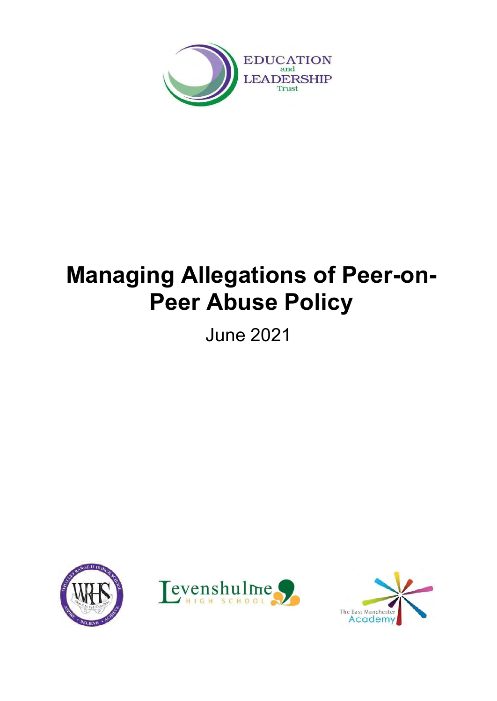

# **Managing Allegations of Peer-on-Peer Abuse Policy**

June 2021





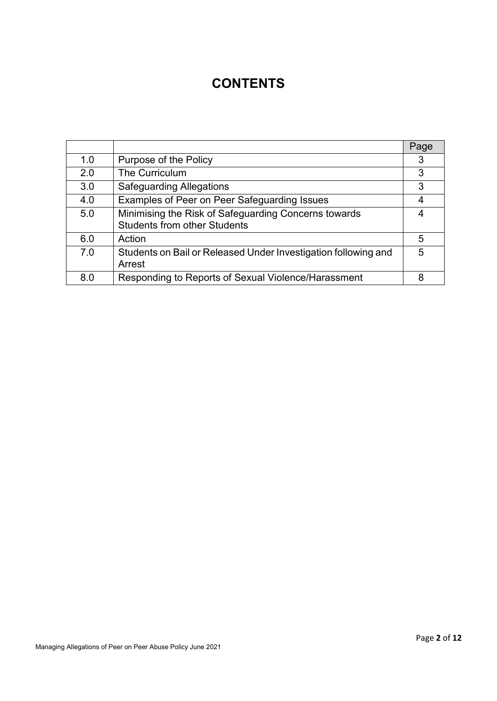## **CONTENTS**

|     |                                                                | Page |
|-----|----------------------------------------------------------------|------|
| 1.0 | Purpose of the Policy                                          | 3    |
| 2.0 | The Curriculum                                                 | 3    |
| 3.0 | <b>Safeguarding Allegations</b>                                | 3    |
| 4.0 | Examples of Peer on Peer Safeguarding Issues                   |      |
| 5.0 | Minimising the Risk of Safeguarding Concerns towards           |      |
|     | <b>Students from other Students</b>                            |      |
| 6.0 | Action                                                         | 5    |
| 7.0 | Students on Bail or Released Under Investigation following and | 5    |
|     | Arrest                                                         |      |
| 8.0 | Responding to Reports of Sexual Violence/Harassment            | 8    |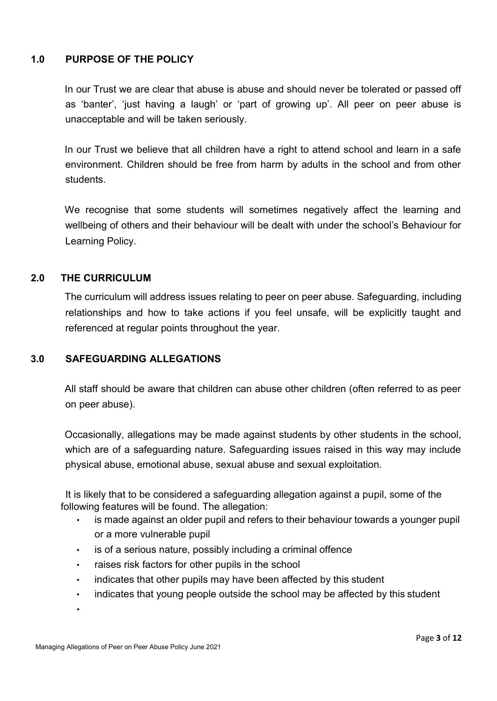#### **1.0 PURPOSE OF THE POLICY**

In our Trust we are clear that abuse is abuse and should never be tolerated or passed off as 'banter', 'just having a laugh' or 'part of growing up'. All peer on peer abuse is unacceptable and will be taken seriously.

In our Trust we believe that all children have a right to attend school and learn in a safe environment. Children should be free from harm by adults in the school and from other students.

We recognise that some students will sometimes negatively affect the learning and wellbeing of others and their behaviour will be dealt with under the school's Behaviour for Learning Policy.

#### **2.0 THE CURRICULUM**

The curriculum will address issues relating to peer on peer abuse. Safeguarding, including relationships and how to take actions if you feel unsafe, will be explicitly taught and referenced at regular points throughout the year.

#### **3.0 SAFEGUARDING ALLEGATIONS**

All staff should be aware that children can abuse other children (often referred to as peer on peer abuse).

Occasionally, allegations may be made against students by other students in the school, which are of a safeguarding nature. Safeguarding issues raised in this way may include physical abuse, emotional abuse, sexual abuse and sexual exploitation.

It is likely that to be considered a safeguarding allegation against a pupil, some of the following features will be found. The allegation:

- is made against an older pupil and refers to their behaviour towards a younger pupil or a more vulnerable pupil
- is of a serious nature, possibly including a criminal offence
- raises risk factors for other pupils in the school
- indicates that other pupils may have been affected by this student
- indicates that young people outside the school may be affected by this student

•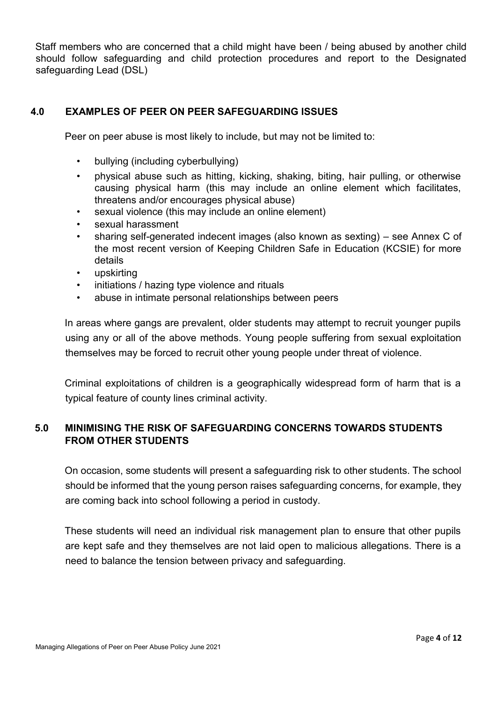Staff members who are concerned that a child might have been / being abused by another child should follow safeguarding and child protection procedures and report to the Designated safeguarding Lead (DSL)

#### **4.0 EXAMPLES OF PEER ON PEER SAFEGUARDING ISSUES**

Peer on peer abuse is most likely to include, but may not be limited to:

- bullying (including cyberbullying)
- physical abuse such as hitting, kicking, shaking, biting, hair pulling, or otherwise causing physical harm (this may include an online element which facilitates, threatens and/or encourages physical abuse)
- sexual violence (this may include an online element)
- sexual harassment
- sharing self-generated indecent images (also known as sexting) see Annex C of the most recent version of Keeping Children Safe in Education (KCSIE) for more details
- upskirting
- initiations / hazing type violence and rituals
- abuse in intimate personal relationships between peers

In areas where gangs are prevalent, older students may attempt to recruit younger pupils using any or all of the above methods. Young people suffering from sexual exploitation themselves may be forced to recruit other young people under threat of violence.

Criminal exploitations of children is a geographically widespread form of harm that is a typical feature of county lines criminal activity.

#### **5.0 MINIMISING THE RISK OF SAFEGUARDING CONCERNS TOWARDS STUDENTS FROM OTHER STUDENTS**

On occasion, some students will present a safeguarding risk to other students. The school should be informed that the young person raises safeguarding concerns, for example, they are coming back into school following a period in custody.

These students will need an individual risk management plan to ensure that other pupils are kept safe and they themselves are not laid open to malicious allegations. There is a need to balance the tension between privacy and safeguarding.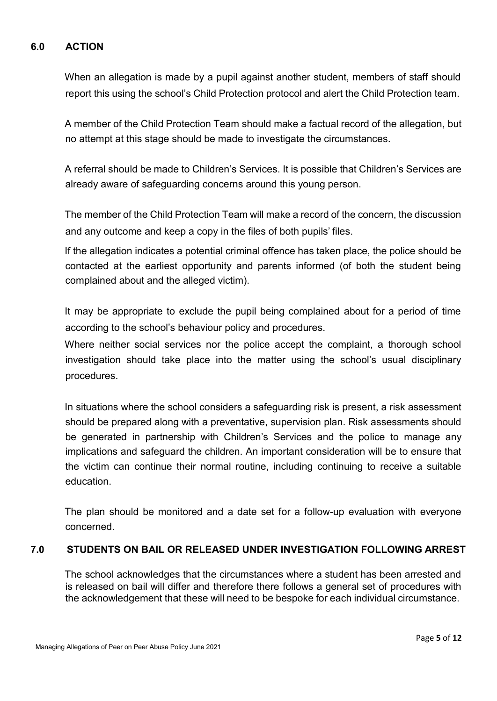#### **6.0 ACTION**

When an allegation is made by a pupil against another student, members of staff should report this using the school's Child Protection protocol and alert the Child Protection team.

A member of the Child Protection Team should make a factual record of the allegation, but no attempt at this stage should be made to investigate the circumstances.

A referral should be made to Children's Services. It is possible that Children's Services are already aware of safeguarding concerns around this young person.

The member of the Child Protection Team will make a record of the concern, the discussion and any outcome and keep a copy in the files of both pupils' files.

If the allegation indicates a potential criminal offence has taken place, the police should be contacted at the earliest opportunity and parents informed (of both the student being complained about and the alleged victim).

It may be appropriate to exclude the pupil being complained about for a period of time according to the school's behaviour policy and procedures.

Where neither social services nor the police accept the complaint, a thorough school investigation should take place into the matter using the school's usual disciplinary procedures.

In situations where the school considers a safeguarding risk is present, a risk assessment should be prepared along with a preventative, supervision plan. Risk assessments should be generated in partnership with Children's Services and the police to manage any implications and safeguard the children. An important consideration will be to ensure that the victim can continue their normal routine, including continuing to receive a suitable education.

The plan should be monitored and a date set for a follow-up evaluation with everyone concerned.

#### **7.0 STUDENTS ON BAIL OR RELEASED UNDER INVESTIGATION FOLLOWING ARREST**

The school acknowledges that the circumstances where a student has been arrested and is released on bail will differ and therefore there follows a general set of procedures with the acknowledgement that these will need to be bespoke for each individual circumstance.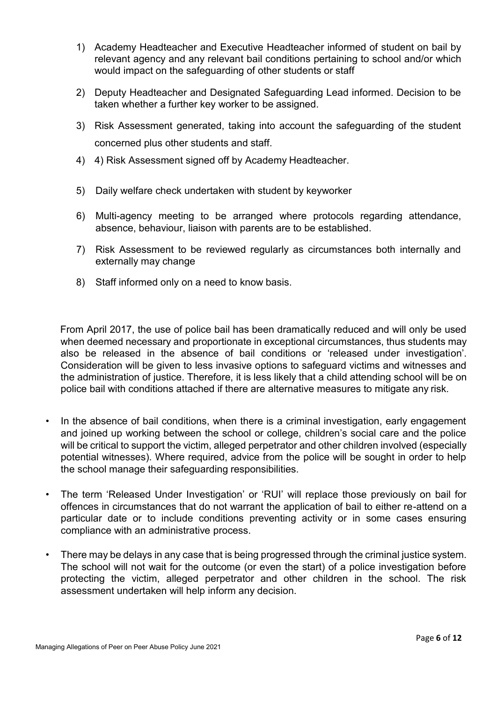- 1) Academy Headteacher and Executive Headteacher informed of student on bail by relevant agency and any relevant bail conditions pertaining to school and/or which would impact on the safeguarding of other students or staff
- 2) Deputy Headteacher and Designated Safeguarding Lead informed. Decision to be taken whether a further key worker to be assigned.
- 3) Risk Assessment generated, taking into account the safeguarding of the student concerned plus other students and staff.
- 4) 4) Risk Assessment signed off by Academy Headteacher.
- 5) Daily welfare check undertaken with student by keyworker
- 6) Multi-agency meeting to be arranged where protocols regarding attendance, absence, behaviour, liaison with parents are to be established.
- 7) Risk Assessment to be reviewed regularly as circumstances both internally and externally may change
- 8) Staff informed only on a need to know basis.

From April 2017, the use of police bail has been dramatically reduced and will only be used when deemed necessary and proportionate in exceptional circumstances, thus students may also be released in the absence of bail conditions or 'released under investigation'. Consideration will be given to less invasive options to safeguard victims and witnesses and the administration of justice. Therefore, it is less likely that a child attending school will be on police bail with conditions attached if there are alternative measures to mitigate any risk.

- In the absence of bail conditions, when there is a criminal investigation, early engagement and joined up working between the school or college, children's social care and the police will be critical to support the victim, alleged perpetrator and other children involved (especially potential witnesses). Where required, advice from the police will be sought in order to help the school manage their safeguarding responsibilities.
- The term 'Released Under Investigation' or 'RUI' will replace those previously on bail for offences in circumstances that do not warrant the application of bail to either re-attend on a particular date or to include conditions preventing activity or in some cases ensuring compliance with an administrative process.
- There may be delays in any case that is being progressed through the criminal justice system. The school will not wait for the outcome (or even the start) of a police investigation before protecting the victim, alleged perpetrator and other children in the school. The risk assessment undertaken will help inform any decision.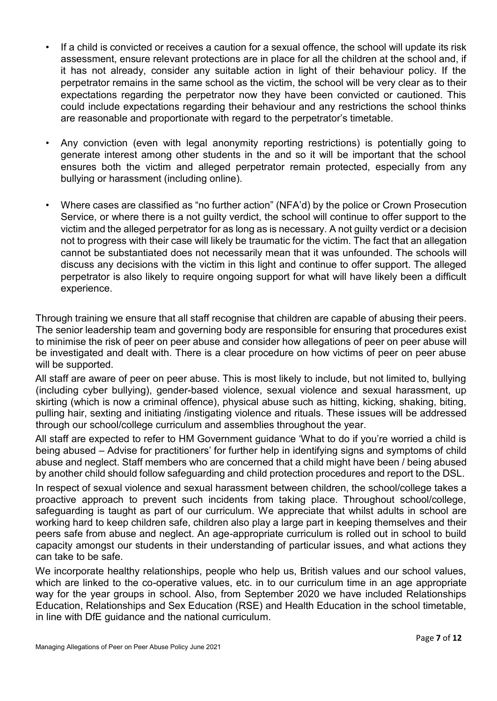- If a child is convicted or receives a caution for a sexual offence, the school will update its risk assessment, ensure relevant protections are in place for all the children at the school and, if it has not already, consider any suitable action in light of their behaviour policy. If the perpetrator remains in the same school as the victim, the school will be very clear as to their expectations regarding the perpetrator now they have been convicted or cautioned. This could include expectations regarding their behaviour and any restrictions the school thinks are reasonable and proportionate with regard to the perpetrator's timetable.
- Any conviction (even with legal anonymity reporting restrictions) is potentially going to generate interest among other students in the and so it will be important that the school ensures both the victim and alleged perpetrator remain protected, especially from any bullying or harassment (including online).
- Where cases are classified as "no further action" (NFA'd) by the police or Crown Prosecution Service, or where there is a not guilty verdict, the school will continue to offer support to the victim and the alleged perpetrator for as long as is necessary. A not guilty verdict or a decision not to progress with their case will likely be traumatic for the victim. The fact that an allegation cannot be substantiated does not necessarily mean that it was unfounded. The schools will discuss any decisions with the victim in this light and continue to offer support. The alleged perpetrator is also likely to require ongoing support for what will have likely been a difficult experience.

Through training we ensure that all staff recognise that children are capable of abusing their peers. The senior leadership team and governing body are responsible for ensuring that procedures exist to minimise the risk of peer on peer abuse and consider how allegations of peer on peer abuse will be investigated and dealt with. There is a clear procedure on how victims of peer on peer abuse will be supported.

All staff are aware of peer on peer abuse. This is most likely to include, but not limited to, bullying (including cyber bullying), gender-based violence, sexual violence and sexual harassment, up skirting (which is now a criminal offence), physical abuse such as hitting, kicking, shaking, biting, pulling hair, sexting and initiating /instigating violence and rituals. These issues will be addressed through our school/college curriculum and assemblies throughout the year.

All staff are expected to refer to HM Government guidance 'What to do if you're worried a child is being abused – Advise for practitioners' for further help in identifying signs and symptoms of child abuse and neglect. Staff members who are concerned that a child might have been / being abused by another child should follow safeguarding and child protection procedures and report to the DSL.

In respect of sexual violence and sexual harassment between children, the school/college takes a proactive approach to prevent such incidents from taking place. Throughout school/college, safeguarding is taught as part of our curriculum. We appreciate that whilst adults in school are working hard to keep children safe, children also play a large part in keeping themselves and their peers safe from abuse and neglect. An age-appropriate curriculum is rolled out in school to build capacity amongst our students in their understanding of particular issues, and what actions they can take to be safe.

We incorporate healthy relationships, people who help us, British values and our school values, which are linked to the co-operative values, etc. in to our curriculum time in an age appropriate way for the year groups in school. Also, from September 2020 we have included Relationships Education, Relationships and Sex Education (RSE) and Health Education in the school timetable, in line with DfE guidance and the national curriculum.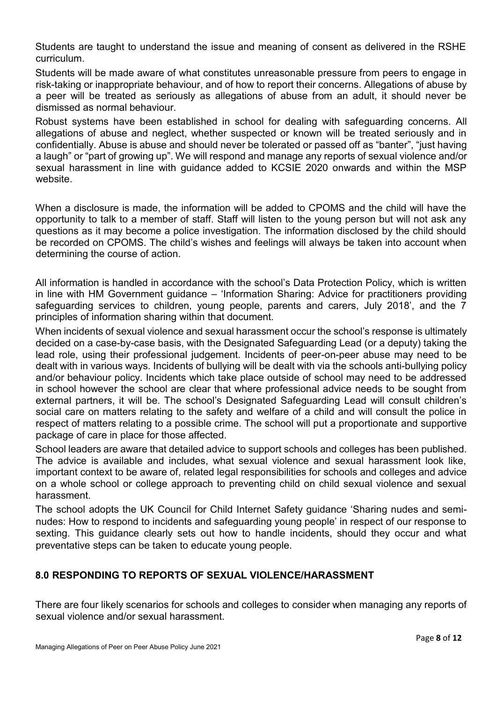Students are taught to understand the issue and meaning of consent as delivered in the RSHE curriculum.

Students will be made aware of what constitutes unreasonable pressure from peers to engage in risk-taking or inappropriate behaviour, and of how to report their concerns. Allegations of abuse by a peer will be treated as seriously as allegations of abuse from an adult, it should never be dismissed as normal behaviour.

Robust systems have been established in school for dealing with safeguarding concerns. All allegations of abuse and neglect, whether suspected or known will be treated seriously and in confidentially. Abuse is abuse and should never be tolerated or passed off as "banter", "just having a laugh" or "part of growing up". We will respond and manage any reports of sexual violence and/or sexual harassment in line with guidance added to KCSIE 2020 onwards and within the MSP website.

When a disclosure is made, the information will be added to CPOMS and the child will have the opportunity to talk to a member of staff. Staff will listen to the young person but will not ask any questions as it may become a police investigation. The information disclosed by the child should be recorded on CPOMS. The child's wishes and feelings will always be taken into account when determining the course of action.

All information is handled in accordance with the school's Data Protection Policy, which is written in line with HM Government guidance – 'Information Sharing: Advice for practitioners providing safeguarding services to children, young people, parents and carers, July 2018', and the 7 principles of information sharing within that document.

When incidents of sexual violence and sexual harassment occur the school's response is ultimately decided on a case-by-case basis, with the Designated Safeguarding Lead (or a deputy) taking the lead role, using their professional judgement. Incidents of peer-on-peer abuse may need to be dealt with in various ways. Incidents of bullying will be dealt with via the schools anti-bullying policy and/or behaviour policy. Incidents which take place outside of school may need to be addressed in school however the school are clear that where professional advice needs to be sought from external partners, it will be. The school's Designated Safeguarding Lead will consult children's social care on matters relating to the safety and welfare of a child and will consult the police in respect of matters relating to a possible crime. The school will put a proportionate and supportive package of care in place for those affected.

School leaders are aware that detailed advice to support schools and colleges has been published. The advice is available and includes, what sexual violence and sexual harassment look like, important context to be aware of, related legal responsibilities for schools and colleges and advice on a whole school or college approach to preventing child on child sexual violence and sexual harassment.

The school adopts the UK Council for Child Internet Safety guidance 'Sharing nudes and seminudes: How to respond to incidents and safeguarding young people' in respect of our response to sexting. This guidance clearly sets out how to handle incidents, should they occur and what preventative steps can be taken to educate young people.

#### **8.0 RESPONDING TO REPORTS OF SEXUAL VIOLENCE/HARASSMENT**

There are four likely scenarios for schools and colleges to consider when managing any reports of sexual violence and/or sexual harassment.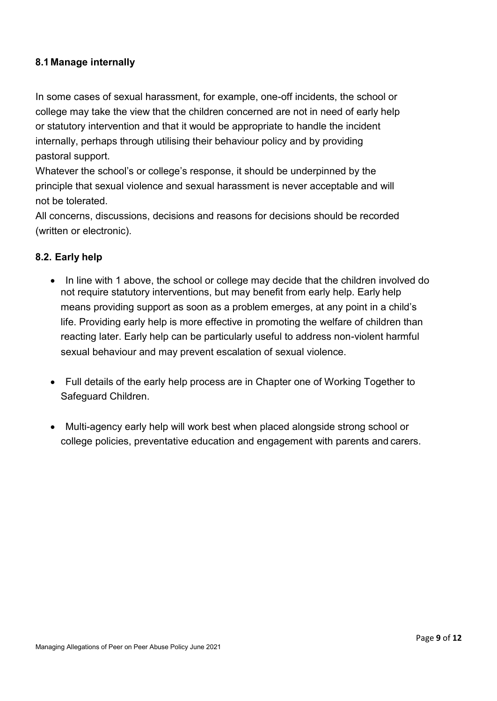#### **8.1 Manage internally**

In some cases of sexual harassment, for example, one-off incidents, the school or college may take the view that the children concerned are not in need of early help or statutory intervention and that it would be appropriate to handle the incident internally, perhaps through utilising their behaviour policy and by providing pastoral support.

Whatever the school's or college's response, it should be underpinned by the principle that sexual violence and sexual harassment is never acceptable and will not be tolerated.

All concerns, discussions, decisions and reasons for decisions should be recorded (written or electronic).

#### **8.2. Early help**

- In line with 1 above, the school or college may decide that the children involved do not require statutory interventions, but may benefit from early help. Early help means providing support as soon as a problem emerges, at any point in a child's life. Providing early help is more effective in promoting the welfare of children than reacting later. Early help can be particularly useful to address non-violent harmful sexual behaviour and may prevent escalation of sexual violence.
- Full details of the early help process are in Chapter one of Working Together to Safeguard Children.
- Multi-agency early help will work best when placed alongside strong school or college policies, preventative education and engagement with parents and carers.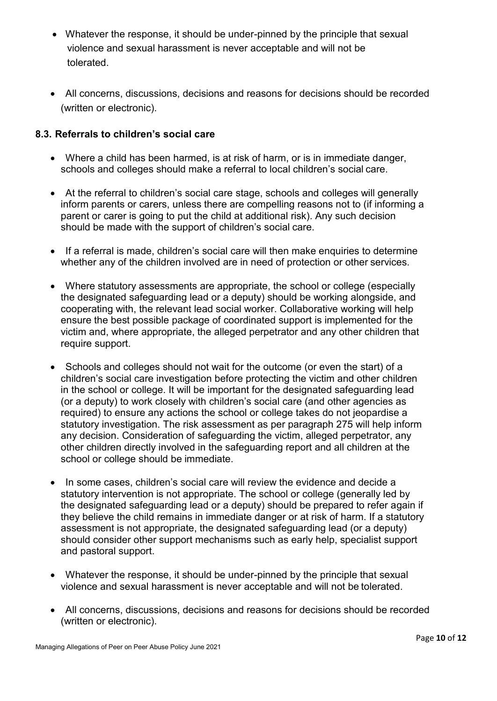- Whatever the response, it should be under-pinned by the principle that sexual violence and sexual harassment is never acceptable and will not be tolerated.
- All concerns, discussions, decisions and reasons for decisions should be recorded (written or electronic).

#### **8.3. Referrals to children's social care**

- Where a child has been harmed, is at risk of harm, or is in immediate danger, schools and colleges should make a referral to local children's social care.
- At the referral to children's social care stage, schools and colleges will generally inform parents or carers, unless there are compelling reasons not to (if informing a parent or carer is going to put the child at additional risk). Any such decision should be made with the support of children's social care.
- If a referral is made, children's social care will then make enquiries to determine whether any of the children involved are in need of protection or other services.
- Where statutory assessments are appropriate, the school or college (especially the designated safeguarding lead or a deputy) should be working alongside, and cooperating with, the relevant lead social worker. Collaborative working will help ensure the best possible package of coordinated support is implemented for the victim and, where appropriate, the alleged perpetrator and any other children that require support.
- Schools and colleges should not wait for the outcome (or even the start) of a children's social care investigation before protecting the victim and other children in the school or college. It will be important for the designated safeguarding lead (or a deputy) to work closely with children's social care (and other agencies as required) to ensure any actions the school or college takes do not jeopardise a statutory investigation. The risk assessment as per paragraph 275 will help inform any decision. Consideration of safeguarding the victim, alleged perpetrator, any other children directly involved in the safeguarding report and all children at the school or college should be immediate.
- In some cases, children's social care will review the evidence and decide a statutory intervention is not appropriate. The school or college (generally led by the designated safeguarding lead or a deputy) should be prepared to refer again if they believe the child remains in immediate danger or at risk of harm. If a statutory assessment is not appropriate, the designated safeguarding lead (or a deputy) should consider other support mechanisms such as early help, specialist support and pastoral support.
- Whatever the response, it should be under-pinned by the principle that sexual violence and sexual harassment is never acceptable and will not be tolerated.
- All concerns, discussions, decisions and reasons for decisions should be recorded (written or electronic).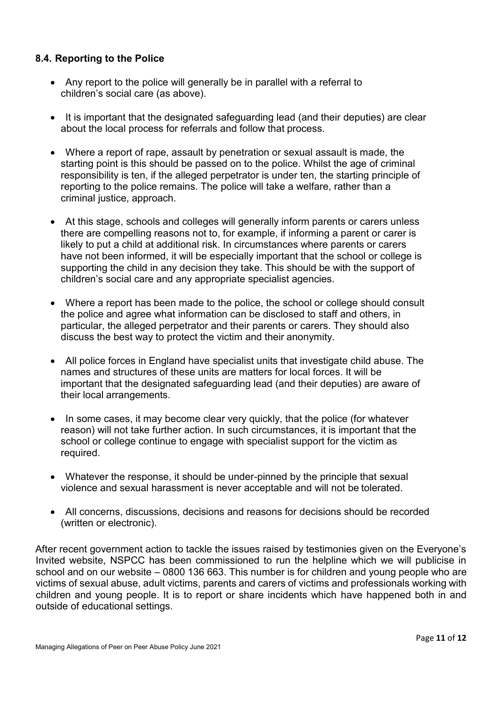#### **8.4. Reporting to the Police**

- Any report to the police will generally be in parallel with a referral to children's social care (as above).
- It is important that the designated safeguarding lead (and their deputies) are clear about the local process for referrals and follow that process.
- Where a report of rape, assault by penetration or sexual assault is made, the starting point is this should be passed on to the police. Whilst the age of criminal responsibility is ten, if the alleged perpetrator is under ten, the starting principle of reporting to the police remains. The police will take a welfare, rather than a criminal justice, approach.
- At this stage, schools and colleges will generally inform parents or carers unless there are compelling reasons not to, for example, if informing a parent or carer is likely to put a child at additional risk. In circumstances where parents or carers have not been informed, it will be especially important that the school or college is supporting the child in any decision they take. This should be with the support of children's social care and any appropriate specialist agencies.
- Where a report has been made to the police, the school or college should consult the police and agree what information can be disclosed to staff and others, in particular, the alleged perpetrator and their parents or carers. They should also discuss the best way to protect the victim and their anonymity.
- All police forces in England have specialist units that investigate child abuse. The names and structures of these units are matters for local forces. It will be important that the designated safeguarding lead (and their deputies) are aware of their local arrangements.
- In some cases, it may become clear very quickly, that the police (for whatever reason) will not take further action. In such circumstances, it is important that the school or college continue to engage with specialist support for the victim as required.
- Whatever the response, it should be under-pinned by the principle that sexual violence and sexual harassment is never acceptable and will not be tolerated.
- All concerns, discussions, decisions and reasons for decisions should be recorded (written or electronic).

After recent government action to tackle the issues raised by testimonies given on the Everyone's Invited website, NSPCC has been commissioned to run the helpline which we will publicise in school and on our website – 0800 136 663. This number is for children and young people who are victims of sexual abuse, adult victims, parents and carers of victims and professionals working with children and young people. It is to report or share incidents which have happened both in and outside of educational settings.